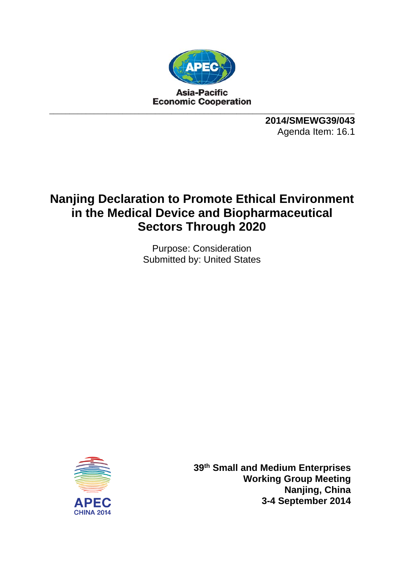

**2014/SMEWG39/043**  Agenda Item: 16.1

## **Nanjing Declaration to Promote Ethical Environment in the Medical Device and Biopharmaceutical Sectors Through 2020**

Purpose: Consideration Submitted by: United States



**39th Small and Medium Enterprises Working Group Meeting Nanjing, China 3-4 September 2014**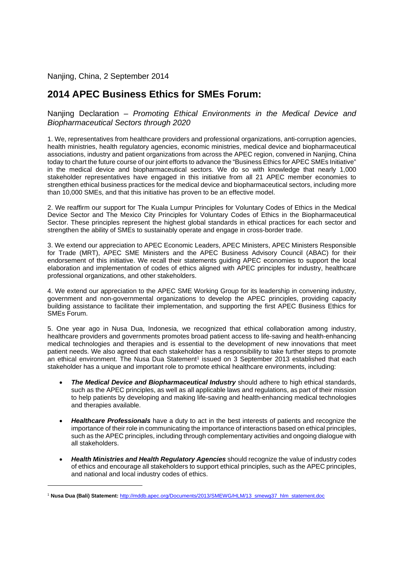Nanjing, China, 2 September 2014

## **2014 APEC Business Ethics for SMEs Forum:**

Nanjing Declaration – *Promoting Ethical Environments in the Medical Device and Biopharmaceutical Sectors through 2020* 

1. We, representatives from healthcare providers and professional organizations, anti-corruption agencies, health ministries, health regulatory agencies, economic ministries, medical device and biopharmaceutical associations, industry and patient organizations from across the APEC region, convened in Nanjing, China today to chart the future course of our joint efforts to advance the "Business Ethics for APEC SMEs Initiative" in the medical device and biopharmaceutical sectors. We do so with knowledge that nearly 1,000 stakeholder representatives have engaged in this initiative from all 21 APEC member economies to strengthen ethical business practices for the medical device and biopharmaceutical sectors, including more than 10,000 SMEs, and that this initiative has proven to be an effective model.

2. We reaffirm our support for The Kuala Lumpur Principles for Voluntary Codes of Ethics in the Medical Device Sector and The Mexico City Principles for Voluntary Codes of Ethics in the Biopharmaceutical Sector. These principles represent the highest global standards in ethical practices for each sector and strengthen the ability of SMEs to sustainably operate and engage in cross-border trade.

3. We extend our appreciation to APEC Economic Leaders, APEC Ministers, APEC Ministers Responsible for Trade (MRT), APEC SME Ministers and the APEC Business Advisory Council (ABAC) for their endorsement of this initiative. We recall their statements guiding APEC economies to support the local elaboration and implementation of codes of ethics aligned with APEC principles for industry, healthcare professional organizations, and other stakeholders.

4. We extend our appreciation to the APEC SME Working Group for its leadership in convening industry, government and non-governmental organizations to develop the APEC principles, providing capacity building assistance to facilitate their implementation, and supporting the first APEC Business Ethics for SMEs Forum.

5. One year ago in Nusa Dua, Indonesia, we recognized that ethical collaboration among industry, healthcare providers and governments promotes broad patient access to life-saving and health-enhancing medical technologies and therapies and is essential to the development of new innovations that meet patient needs. We also agreed that each stakeholder has a responsibility to take further steps to promote an ethical environment. The Nusa Dua Statement<sup>1</sup> issued on 3 September 2013 established that each stakeholder has a unique and important role to promote ethical healthcare environments, including:

- *The Medical Device and Biopharmaceutical Industry* should adhere to high ethical standards, such as the APEC principles, as well as all applicable laws and regulations, as part of their mission to help patients by developing and making life-saving and health-enhancing medical technologies and therapies available.
- **Healthcare Professionals** have a duty to act in the best interests of patients and recognize the importance of their role in communicating the importance of interactions based on ethical principles, such as the APEC principles, including through complementary activities and ongoing dialogue with all stakeholders.
- *Health Ministries and Health Regulatory Agencies* should recognize the value of industry codes of ethics and encourage all stakeholders to support ethical principles, such as the APEC principles, and national and local industry codes of ethics.

-

<sup>1</sup> **Nusa Dua (Bali) Statement:** http://mddb.apec.org/Documents/2013/SMEWG/HLM/13\_smewg37\_hlm\_statement.doc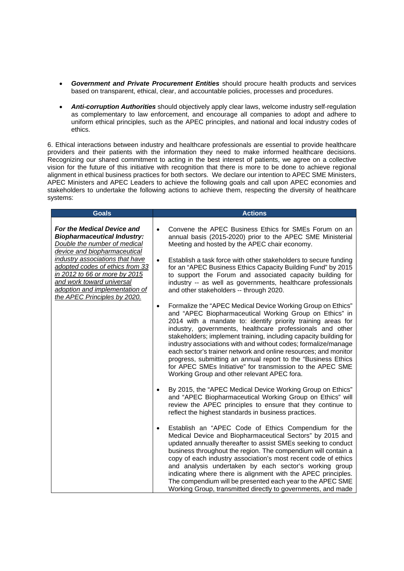- *Government and Private Procurement Entities* should procure health products and services based on transparent, ethical, clear, and accountable policies, processes and procedures.
- *Anti-corruption Authorities* should objectively apply clear laws, welcome industry self-regulation as complementary to law enforcement, and encourage all companies to adopt and adhere to uniform ethical principles, such as the APEC principles, and national and local industry codes of ethics.

6. Ethical interactions between industry and healthcare professionals are essential to provide healthcare providers and their patients with the information they need to make informed healthcare decisions. Recognizing our shared commitment to acting in the best interest of patients, we agree on a collective vision for the future of this initiative with recognition that there is more to be done to achieve regional alignment in ethical business practices for both sectors. We declare our intention to APEC SME Ministers, APEC Ministers and APEC Leaders to achieve the following goals and call upon APEC economies and stakeholders to undertake the following actions to achieve them, respecting the diversity of healthcare systems:

| <b>Goals</b>                                                                                                                                                                                                                                                                                                                           | <b>Actions</b>                                                                                                                                                                                                                                                                                                                                                                                                                                                                                                                                                                                                                                           |
|----------------------------------------------------------------------------------------------------------------------------------------------------------------------------------------------------------------------------------------------------------------------------------------------------------------------------------------|----------------------------------------------------------------------------------------------------------------------------------------------------------------------------------------------------------------------------------------------------------------------------------------------------------------------------------------------------------------------------------------------------------------------------------------------------------------------------------------------------------------------------------------------------------------------------------------------------------------------------------------------------------|
| For the Medical Device and<br><b>Biopharmaceutical Industry:</b><br>Double the number of medical<br>device and biopharmaceutical<br>industry associations that have<br>adopted codes of ethics from 33<br>in 2012 to 66 or more by 2015<br>and work toward universal<br>adoption and implementation of<br>the APEC Principles by 2020. | Convene the APEC Business Ethics for SMEs Forum on an<br>$\bullet$<br>annual basis (2015-2020) prior to the APEC SME Ministerial<br>Meeting and hosted by the APEC chair economy.                                                                                                                                                                                                                                                                                                                                                                                                                                                                        |
|                                                                                                                                                                                                                                                                                                                                        | Establish a task force with other stakeholders to secure funding<br>$\bullet$<br>for an "APEC Business Ethics Capacity Building Fund" by 2015<br>to support the Forum and associated capacity building for<br>industry -- as well as governments, healthcare professionals<br>and other stakeholders -- through 2020.                                                                                                                                                                                                                                                                                                                                    |
|                                                                                                                                                                                                                                                                                                                                        | Formalize the "APEC Medical Device Working Group on Ethics"<br>$\bullet$<br>and "APEC Biopharmaceutical Working Group on Ethics" in<br>2014 with a mandate to: identify priority training areas for<br>industry, governments, healthcare professionals and other<br>stakeholders; implement training, including capacity building for<br>industry associations with and without codes; formalize/manage<br>each sector's trainer network and online resources; and monitor<br>progress, submitting an annual report to the "Business Ethics<br>for APEC SMEs Initiative" for transmission to the APEC SME<br>Working Group and other relevant APEC fora. |
|                                                                                                                                                                                                                                                                                                                                        | By 2015, the "APEC Medical Device Working Group on Ethics"<br>and "APEC Biopharmaceutical Working Group on Ethics" will<br>review the APEC principles to ensure that they continue to<br>reflect the highest standards in business practices.                                                                                                                                                                                                                                                                                                                                                                                                            |
|                                                                                                                                                                                                                                                                                                                                        | Establish an "APEC Code of Ethics Compendium for the<br>Medical Device and Biopharmaceutical Sectors" by 2015 and<br>updated annually thereafter to assist SMEs seeking to conduct<br>business throughout the region. The compendium will contain a<br>copy of each industry association's most recent code of ethics<br>and analysis undertaken by each sector's working group<br>indicating where there is alignment with the APEC principles.<br>The compendium will be presented each year to the APEC SME<br>Working Group, transmitted directly to governments, and made                                                                           |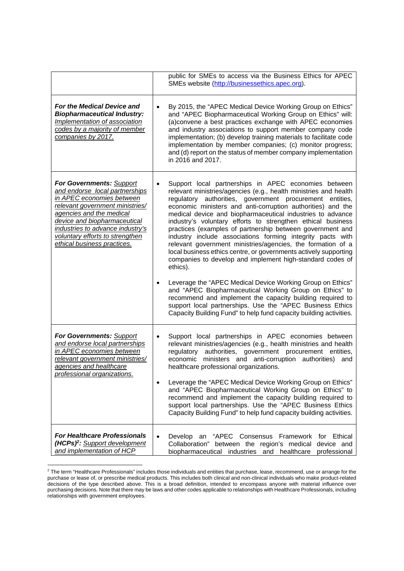|                                                                                                                                                                                                                                                                                              | public for SMEs to access via the Business Ethics for APEC<br>SMEs website (http://businessethics.apec.org).                                                                                                                                                                                                                                                                                                                                                                                                                                                                                                                                                                                                                                                                                          |
|----------------------------------------------------------------------------------------------------------------------------------------------------------------------------------------------------------------------------------------------------------------------------------------------|-------------------------------------------------------------------------------------------------------------------------------------------------------------------------------------------------------------------------------------------------------------------------------------------------------------------------------------------------------------------------------------------------------------------------------------------------------------------------------------------------------------------------------------------------------------------------------------------------------------------------------------------------------------------------------------------------------------------------------------------------------------------------------------------------------|
| For the Medical Device and<br><b>Biopharmaceutical Industry:</b><br>Implementation of association<br>codes by a majority of member<br>companies by 2017.                                                                                                                                     | By 2015, the "APEC Medical Device Working Group on Ethics"<br>$\bullet$<br>and "APEC Biopharmaceutical Working Group on Ethics" will:<br>(a)convene a best practices exchange with APEC economies<br>and industry associations to support member company code<br>implementation; (b) develop training materials to facilitate code<br>implementation by member companies; (c) monitor progress;<br>and (d) report on the status of member company implementation<br>in 2016 and 2017.                                                                                                                                                                                                                                                                                                                 |
| For Governments: Support<br>and endorse local partnerships<br>in APEC economies between<br>relevant government ministries/<br>agencies and the medical<br>device and biopharmaceutical<br>industries to advance industry's<br>voluntary efforts to strengthen<br>ethical business practices. | Support local partnerships in APEC economies between<br>$\bullet$<br>relevant ministries/agencies (e.g., health ministries and health<br>authorities, government procurement entities,<br>regulatory<br>economic ministers and anti-corruption authorities) and the<br>medical device and biopharmaceutical industries to advance<br>industry's voluntary efforts to strengthen ethical business<br>practices (examples of partnership between government and<br>industry include associations forming integrity pacts with<br>relevant government ministries/agencies, the formation of a<br>local business ethics centre, or governments actively supporting<br>companies to develop and implement high-standard codes of<br>ethics).<br>Leverage the "APEC Medical Device Working Group on Ethics" |
|                                                                                                                                                                                                                                                                                              | and "APEC Biopharmaceutical Working Group on Ethics" to<br>recommend and implement the capacity building required to<br>support local partnerships. Use the "APEC Business Ethics<br>Capacity Building Fund" to help fund capacity building activities.                                                                                                                                                                                                                                                                                                                                                                                                                                                                                                                                               |
| For Governments: Support<br>and endorse local partnerships<br>in APEC economies between<br>relevant government ministries/<br>agencies and healthcare<br><u>professional organizations.</u>                                                                                                  | Support local partnerships in APEC economies between<br>$\bullet$<br>relevant ministries/agencies (e.g., health ministries and health<br>authorities, government procurement entities,<br>regulatory<br>ministers and anti-corruption authorities)<br>economic<br>and<br>healthcare professional organizations.                                                                                                                                                                                                                                                                                                                                                                                                                                                                                       |
|                                                                                                                                                                                                                                                                                              | Leverage the "APEC Medical Device Working Group on Ethics"<br>and "APEC Biopharmaceutical Working Group on Ethics" to<br>recommend and implement the capacity building required to<br>support local partnerships. Use the "APEC Business Ethics<br>Capacity Building Fund" to help fund capacity building activities.                                                                                                                                                                                                                                                                                                                                                                                                                                                                                 |
| <b>For Healthcare Professionals</b><br>$(HCPs)^2$ : Support development<br>and implementation of HCP                                                                                                                                                                                         | Develop an<br>"APEC Consensus Framework<br>for Ethical<br>$\bullet$<br>Collaboration"<br>between the region's medical<br>device and<br>industries and healthcare<br>biopharmaceutical<br>professional                                                                                                                                                                                                                                                                                                                                                                                                                                                                                                                                                                                                 |

 2 The term "Healthcare Professionals" includes those individuals and entities that purchase, lease, recommend, use or arrange for the purchase or lease of, or prescribe medical products. This includes both clinical and non-clinical individuals who make product-related decisions of the type described above. This is a broad definition, intended to encompass anyone with material influence over purchasing decisions. Note that there may be laws and other codes applicable to relationships with Healthcare Professionals, including relationships with government employees.